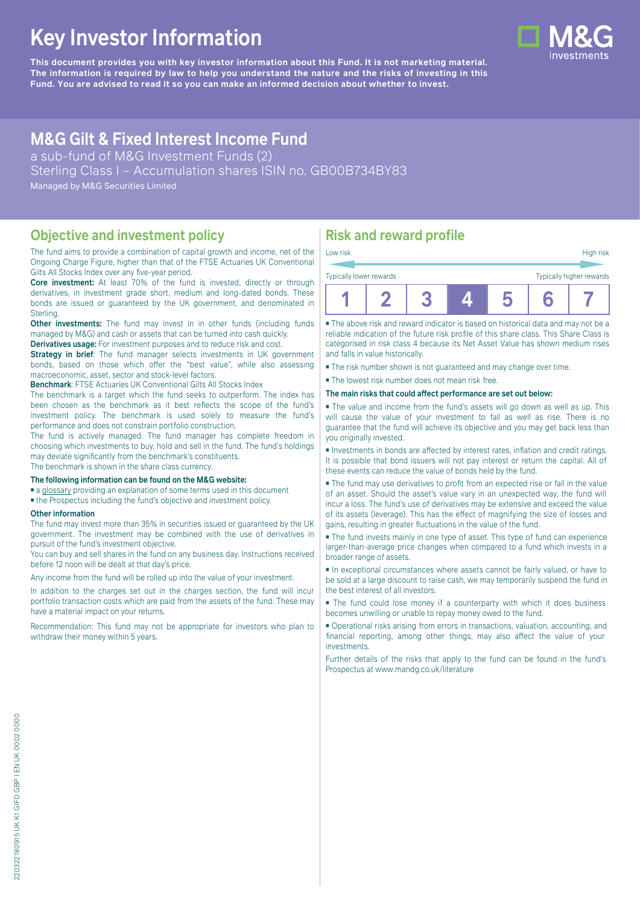# **Key Investor Information**

**This document provides you with key investor information about this Fund. It is not marketing material.** The information is required by law to help you understand the nature and the risks of investing in this **Fund. You are advised to read it so you can make an informed decision about whether to invest.**

## **M&G Gilt & Fixed Interest Income Fund**

a sub-fund of M&G Investment Funds (2)

Sterling Class I – Accumulation shares ISIN no. GB00B734BY83

Managed by M&G Securities Limited

#### **Objective and investment policy**

The fund aims to provide a combination of capital growth and income, net of the Ongoing Charge Figure, higher than that of the FTSE Actuaries UK Conventional Gilts All Stocks Index over any five-year period.

**Core investment:** At least 70% of the fund is invested, directly or through derivatives, in investment grade short, medium and long-dated bonds. These bonds are issued or guaranteed by the UK government, and denominated in Sterling.

**Other investments:** The fund may invest in in other funds (including funds) managed by M&G) and cash or assets that can be turned into cash quickly.

**Derivatives usage:** For investment purposes and to reduce risk and cost.

**Strategy in brief:** The fund manager selects investments in UK government bonds, based on those which offer the "best value", while also assessing macroeconomic, asset, sector and stock-level factors.

**Benchmark**: FTSE Actuaries UK Conventional Gilts All Stocks Index

The benchmark is a target which the fund seeks to outperform. The index has been chosen as the benchmark as it best reflects the scope of the fund's investment policy. The benchmark is used solely to measure the fund's performance and does not constrain portfolio construction.

The fund is actively managed. The fund manager has complete freedom in choosing which investments to buy, hold and sell in the fund. The fund's holdings may deviate significantly from the benchmark's constituents. The benchmark is shown in the share class currency.

#### **The following information can be found on the M&G website:**

- [a glossary](https://docs.mandg.com/docs/glossary-master-en.pdf) providing an explanation of some terms used in this document
- the Prospectus including the fund's objective and investment policy.

#### **Other information**

The fund may invest more than 35% in securities issued or guaranteed by the UK government. The investment may be combined with the use of derivatives in pursuit of the fund's investment objective.

You can buy and sell shares in the fund on any business day. Instructions received before 12 noon will be dealt at that day's price.

Any income from the fund will be rolled up into the value of your investment.

In addition to the charges set out in the charges section, the fund will incur portfolio transaction costs which are paid from the assets of the fund. These may have a material impact on your returns.

Recommendation: This fund may not be appropriate for investors who plan to withdraw their money within 5 years.

## **Risk and reward profile**

| Low risk                |  |  | High risk                |
|-------------------------|--|--|--------------------------|
| Typically lower rewards |  |  | Typically higher rewards |
|                         |  |  |                          |

■ The above risk and reward indicator is based on historical data and may not be a reliable indication of the future risk profile of this share class. This Share Class is categorised in risk class 4 because its Net Asset Value has shown medium rises and falls in value historically.

■ The risk number shown is not guaranteed and may change over time.

■ The lowest risk number does not mean risk free.

#### **The main risks that could affect performance are set out below:**

■ The value and income from the fund's assets will go down as well as up. This will cause the value of your investment to fall as well as rise. There is no guarantee that the fund will achieve its objective and you may get back less than you originally invested.

■ Investments in bonds are affected by interest rates, inflation and credit ratings. It is possible that bond issuers will not pay interest or return the capital. All of these events can reduce the value of bonds held by the fund.

■ The fund may use derivatives to profit from an expected rise or fall in the value of an asset. Should the asset's value vary in an unexpected way, the fund will incur a loss. The fund's use of derivatives may be extensive and exceed the value of its assets (leverage). This has the effect of magnifying the size of losses and gains, resulting in greater fluctuations in the value of the fund.

■ The fund invests mainly in one type of asset. This type of fund can experience larger-than-average price changes when compared to a fund which invests in a broader range of assets.

■ In exceptional circumstances where assets cannot be fairly valued, or have to be sold at a large discount to raise cash, we may temporarily suspend the fund in the best interest of all investors.

■ The fund could lose money if a counterparty with which it does business becomes unwilling or unable to repay money owed to the fund.

■ Operational risks arising from errors in transactions, valuation, accounting, and financial reporting, among other things, may also affect the value of your investments.

Further details of the risks that apply to the fund can be found in the fund's Prospectus at [www.mandg.co.uk/literature](http://www.mandg.co.uk/literature)